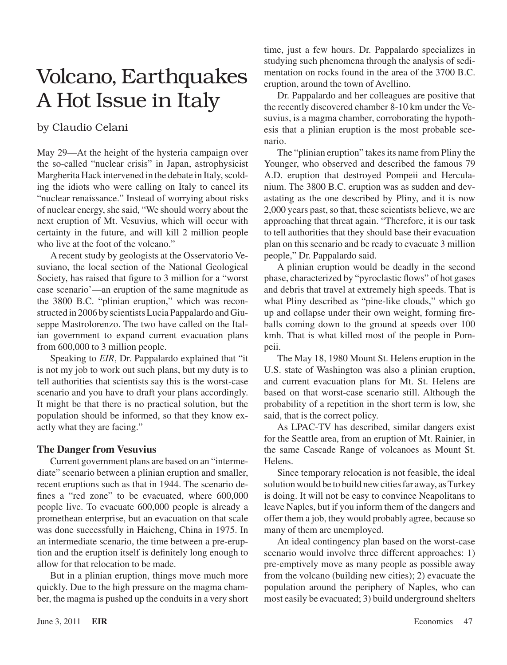## Volcano, Earthquakes A Hot Issue in Italy

## by Claudio Celani

May 29—At the height of the hysteria campaign over the so-called "nuclear crisis" in Japan, astrophysicist Margherita Hack intervened in the debate in Italy, scolding the idiots who were calling on Italy to cancel its "nuclear renaissance." Instead of worrying about risks of nuclear energy, she said, "We should worry about the next eruption of Mt. Vesuvius, which will occur with certainty in the future, and will kill 2 million people who live at the foot of the volcano."

A recent study by geologists at the Osservatorio Vesuviano, the local section of the National Geological Society, has raised that figure to 3 million for a "worst case scenario'—an eruption of the same magnitude as the 3800 B.C. "plinian eruption," which was reconstructed in 2006 by scientists Lucia Pappalardo and Giuseppe Mastrolorenzo. The two have called on the Italian government to expand current evacuation plans from 600,000 to 3 million people.

Speaking to *EIR*, Dr. Pappalardo explained that "it is not my job to work out such plans, but my duty is to tell authorities that scientists say this is the worst-case scenario and you have to draft your plans accordingly. It might be that there is no practical solution, but the population should be informed, so that they know exactly what they are facing."

## **The Danger from Vesuvius**

Current government plans are based on an "intermediate" scenario between a plinian eruption and smaller, recent eruptions such as that in 1944. The scenario defines a "red zone" to be evacuated, where 600,000 people live. To evacuate 600,000 people is already a promethean enterprise, but an evacuation on that scale was done successfully in Haicheng, China in 1975. In an intermediate scenario, the time between a pre-eruption and the eruption itself is definitely long enough to allow for that relocation to be made.

But in a plinian eruption, things move much more quickly. Due to the high pressure on the magma chamber, the magma is pushed up the conduitsin a very short time, just a few hours. Dr. Pappalardo specializes in studying such phenomena through the analysis of sedimentation on rocks found in the area of the 3700 B.C. eruption, around the town of Avellino.

Dr. Pappalardo and her colleagues are positive that the recently discovered chamber 8-10 km under the Vesuvius, is a magma chamber, corroborating the hypothesis that a plinian eruption is the most probable scenario.

The "plinian eruption" takes its name from Pliny the Younger, who observed and described the famous 79 A.D. eruption that destroyed Pompeii and Herculanium. The 3800 B.C. eruption was as sudden and devastating as the one described by Pliny, and it is now 2,000 years past, so that, these scientists believe, we are approaching that threat again. "Therefore, it is our task to tell authorities that they should base their evacuation plan on this scenario and be ready to evacuate 3 million people," Dr. Pappalardo said.

A plinian eruption would be deadly in the second phase, characterized by "pyroclastic flows" of hot gases and debris that travel at extremely high speeds. That is what Pliny described as "pine-like clouds," which go up and collapse under their own weight, forming fireballs coming down to the ground at speeds over 100 kmh. That is what killed most of the people in Pompeii.

The May 18, 1980 Mount St. Helens eruption in the U.S. state of Washington was also a plinian eruption, and current evacuation plans for Mt. St. Helens are based on that worst-case scenario still. Although the probability of a repetition in the short term is low, she said, that is the correct policy.

As LPAC-TV has described, similar dangers exist for the Seattle area, from an eruption of Mt. Rainier, in the same Cascade Range of volcanoes as Mount St. Helens.

Since temporary relocation is not feasible, the ideal solution would be to build new cities far away, as Turkey is doing. It will not be easy to convince Neapolitans to leave Naples, but if you inform them of the dangers and offer them a job, they would probably agree, because so many of them are unemployed.

An ideal contingency plan based on the worst-case scenario would involve three different approaches: 1) pre-emptively move as many people as possible away from the volcano (building new cities); 2) evacuate the population around the periphery of Naples, who can most easily be evacuated; 3) build underground shelters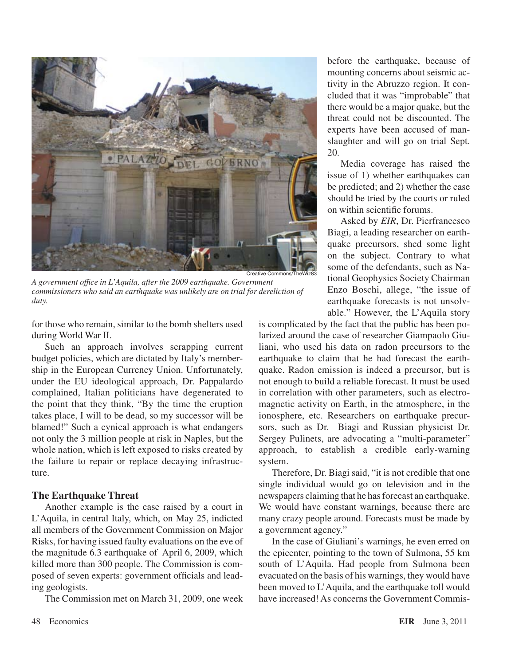

*A government office in L'Aquila, after the 2009 earthquake. Government commissioners who said an earthquake was unlikely are on trial for dereliction of duty.*

for those who remain, similar to the bomb shelters used during World War II.

Such an approach involves scrapping current budget policies, which are dictated by Italy's membership in the European Currency Union. Unfortunately, under the EU ideological approach, Dr. Pappalardo complained, Italian politicians have degenerated to the point that they think, "By the time the eruption takes place, I will to be dead, so my successor will be blamed!" Such a cynical approach is what endangers not only the 3 million people at risk in Naples, but the whole nation, which is left exposed to risks created by the failure to repair or replace decaying infrastructure.

## **The Earthquake Threat**

Another example is the case raised by a court in L'Aquila, in central Italy, which, on May 25, indicted all members of the Government Commission on Major Risks, for having issued faulty evaluations on the eve of the magnitude 6.3 earthquake of April 6, 2009, which killed more than 300 people. The Commission is composed of seven experts: government officials and leading geologists.

The Commission met on March 31, 2009, one week

before the earthquake, because of mounting concerns about seismic activity in the Abruzzo region. It concluded that it was "improbable" that there would be a major quake, but the threat could not be discounted. The experts have been accused of manslaughter and will go on trial Sept. 20.

Media coverage has raised the issue of 1) whether earthquakes can be predicted; and 2) whether the case should be tried by the courts or ruled on within scientific forums.

Asked by *EIR*, Dr. Pierfrancesco Biagi, a leading researcher on earthquake precursors, shed some light on the subject. Contrary to what some of the defendants, such as National Geophysics Society Chairman Enzo Boschi, allege, "the issue of earthquake forecasts is not unsolvable." However, the L'Aquila story

is complicated by the fact that the public has been polarized around the case of researcher Giampaolo Giuliani, who used his data on radon precursors to the earthquake to claim that he had forecast the earthquake. Radon emission is indeed a precursor, but is not enough to build a reliable forecast. It must be used in correlation with other parameters, such as electromagnetic activity on Earth, in the atmosphere, in the ionosphere, etc. Researchers on earthquake precursors, such as Dr. Biagi and Russian physicist Dr. Sergey Pulinets, are advocating a "multi-parameter" approach, to establish a credible early-warning system.

Therefore, Dr. Biagi said, "it is not credible that one single individual would go on television and in the newspapers claiming that he has forecast an earthquake. We would have constant warnings, because there are many crazy people around. Forecasts must be made by a government agency."

In the case of Giuliani's warnings, he even erred on the epicenter, pointing to the town of Sulmona, 55 km south of L'Aquila. Had people from Sulmona been evacuated on the basis of his warnings, they would have been moved to L'Aquila, and the earthquake toll would have increased! As concerns the Government Commis